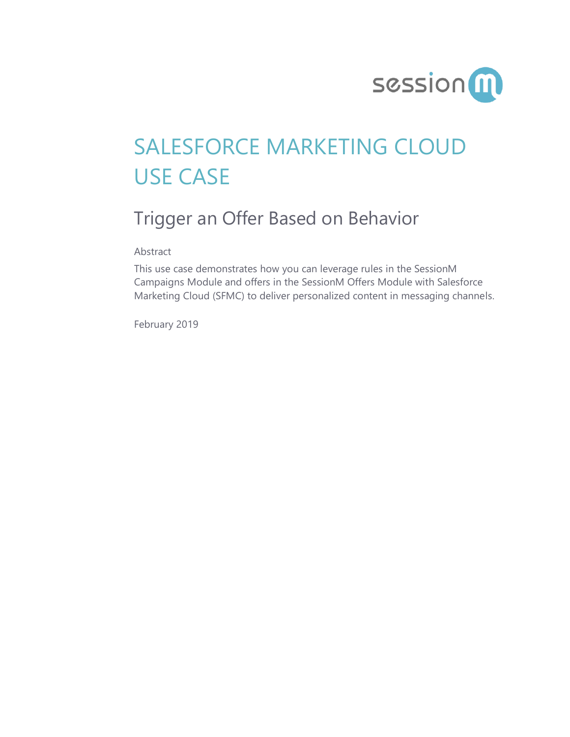

# SALESFORCE MARKETING CLOUD USE CASE

## Trigger an Offer Based on Behavior

Abstract

This use case demonstrates how you can leverage rules in the SessionM Campaigns Module and offers in the SessionM Offers Module with Salesforce Marketing Cloud (SFMC) to deliver personalized content in messaging channels.

February 2019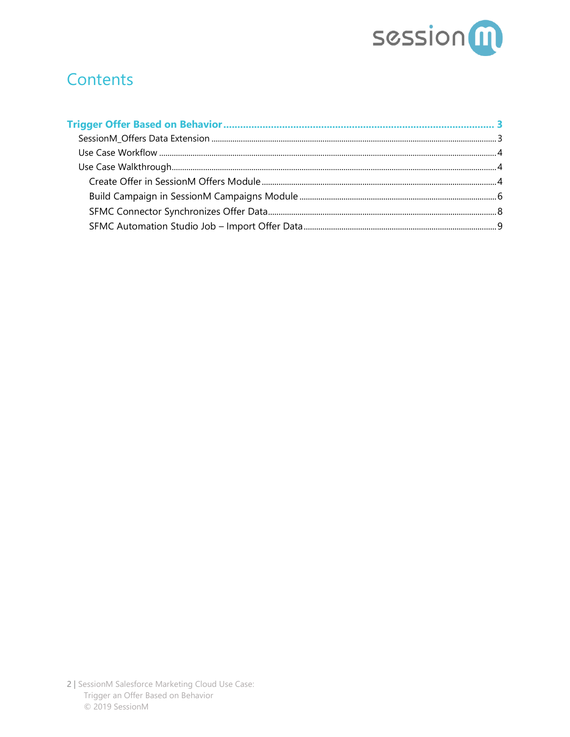

### **Contents**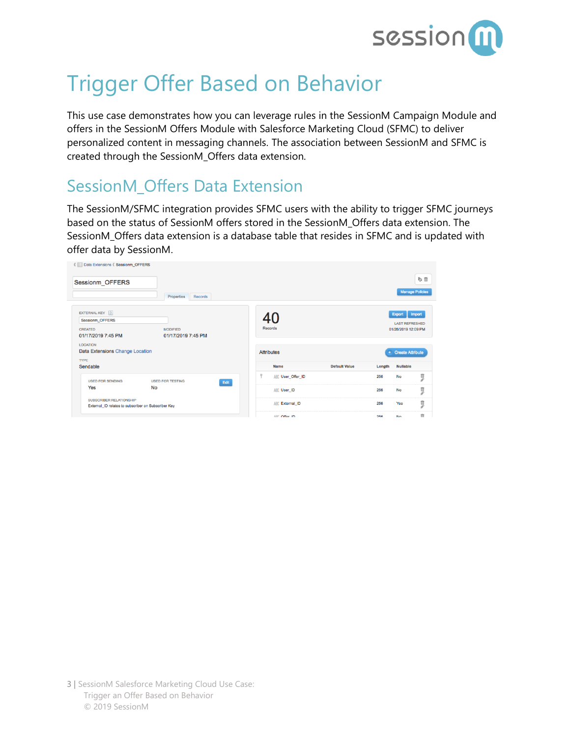

## <span id="page-2-0"></span>Trigger Offer Based on Behavior

This use case demonstrates how you can leverage rules in the SessionM Campaign Module and offers in the SessionM Offers Module with Salesforce Marketing Cloud (SFMC) to deliver personalized content in messaging channels. The association between SessionM and SFMC is created through the SessionM\_Offers data extension.

### <span id="page-2-1"></span>SessionM\_Offers Data Extension

The SessionM/SFMC integration provides SFMC users with the ability to trigger SFMC journeys based on the status of SessionM offers stored in the SessionM\_Offers data extension. The SessionM\_Offers data extension is a database table that resides in SFMC and is updated with offer data by SessionM.

| <b>《 E Data Extensions 《 Sessionm_OFFERS</b>                                   |                                 |   |                   |                      |        |                        |        |
|--------------------------------------------------------------------------------|---------------------------------|---|-------------------|----------------------|--------|------------------------|--------|
| Sessionm_OFFERS                                                                |                                 |   |                   |                      |        |                        | 取用     |
|                                                                                | Properties<br><b>Records</b>    |   |                   |                      |        | <b>Manage Policies</b> |        |
| EXTERNAL KEY 2                                                                 |                                 |   |                   |                      |        | Export                 | Import |
| Sessionm_OFFERS                                                                |                                 |   |                   |                      |        | <b>LAST REFRESHED</b>  |        |
| <b>CREATED</b>                                                                 | <b>MODIFIED</b>                 |   | Records           |                      |        | 01/28/2019 12:09 PM    |        |
| 01/17/2019 7:45 PM                                                             | 01/17/2019 7:45 PM              |   |                   |                      |        |                        |        |
| <b>LOCATION</b>                                                                |                                 |   |                   |                      |        |                        |        |
| Data Extensions Change Location                                                |                                 |   | <b>Attributes</b> |                      |        | + Create Attribute     |        |
| <b>TYPE</b>                                                                    |                                 |   |                   |                      |        |                        |        |
| Sendable                                                                       |                                 |   | Name              | <b>Default Value</b> | Length | <b>Nullable</b>        |        |
| <b>USED FOR SENDING</b>                                                        | <b>USED FOR TESTING</b><br>Edit | Ÿ | ABC User_Offer_ID |                      | 256    | <b>No</b>              | ņ      |
| Yes                                                                            | <b>No</b>                       |   | ABC User_ID       |                      | 256    | <b>No</b>              | ņ      |
| SUBSCRIBER RELATIONSHIP<br>External_ID relates to subscriber on Subscriber Key |                                 |   | ABC External_ID   |                      | 256    | Yes                    | ņ      |
|                                                                                |                                 |   | ABF Office ID     |                      | 256    | No.                    | m      |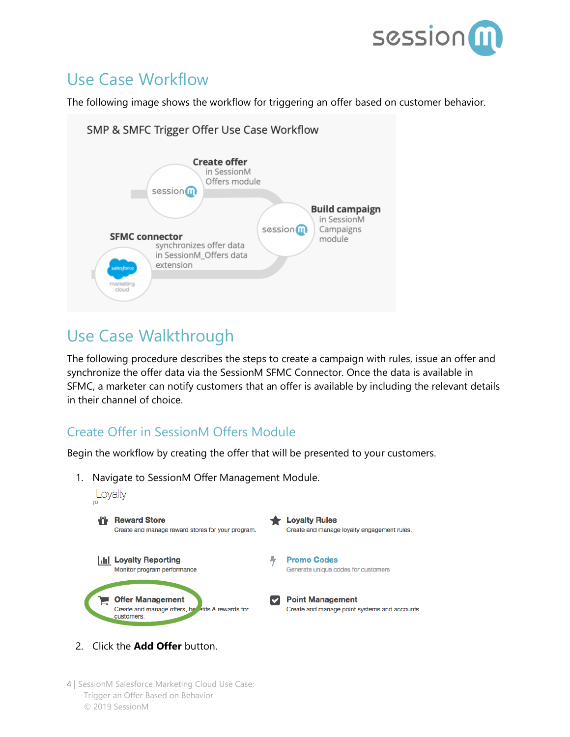

### <span id="page-3-0"></span>Use Case Workflow

The following image shows the workflow for triggering an offer based on customer behavior.



### <span id="page-3-1"></span>Use Case Walkthrough

The following procedure describes the steps to create a campaign with rules, issue an offer and synchronize the offer data via the SessionM SFMC Connector. Once the data is available in SFMC, a marketer can notify customers that an offer is available by including the relevant details in their channel of choice.

#### <span id="page-3-2"></span>Create Offer in SessionM Offers Module

Begin the workflow by creating the offer that will be presented to your customers.

1. Navigate to SessionM Offer Management Module.



- 2. Click the **Add Offer** button.
- 4 | SessionM Salesforce Marketing Cloud Use Case: Trigger an Offer Based on Behavior © 2019 SessionM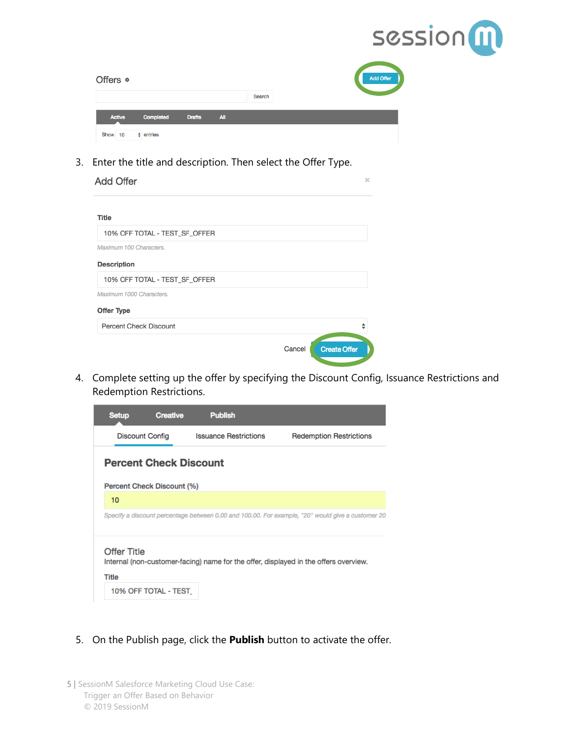

| Offers &      |                |               |            |        | Add Offer |
|---------------|----------------|---------------|------------|--------|-----------|
|               |                |               |            | Search |           |
| <b>Active</b> | Completed      | <b>Drafts</b> | <b>All</b> |        |           |
| Show<br>10    | $\div$ entries |               |            |        |           |

3. Enter the title and description. Then select the Offer Type.

| <b>Add Offer</b>              |        | ×                   |
|-------------------------------|--------|---------------------|
| Title                         |        |                     |
| 10% OFF TOTAL - TEST_SF_OFFER |        |                     |
| Maximum 100 Characters.       |        |                     |
| Description                   |        |                     |
| 10% OFF TOTAL - TEST_SF_OFFER |        |                     |
| Maximum 1000 Characters.      |        |                     |
| Offer Type                    |        |                     |
| Percent Check Discount        |        |                     |
|                               | Cancel | <b>Create Offer</b> |

4. Complete setting up the offer by specifying the Discount Config, Issuance Restrictions and Redemption Restrictions.

| <b>Setup</b>                       | <b>Creative</b>               | <b>Publish</b>               |                                                                                                   |
|------------------------------------|-------------------------------|------------------------------|---------------------------------------------------------------------------------------------------|
|                                    | <b>Discount Config</b>        | <b>Issuance Restrictions</b> | <b>Redemption Restrictions</b>                                                                    |
|                                    | <b>Percent Check Discount</b> |                              |                                                                                                   |
|                                    | Percent Check Discount (%)    |                              |                                                                                                   |
| 10                                 |                               |                              |                                                                                                   |
|                                    |                               |                              | Specify a discount percentage between 0.00 and 100.00. For example, "20" would give a customer 20 |
| <b>Offer Title</b><br><b>Title</b> |                               |                              | Internal (non-customer-facing) name for the offer, displayed in the offers overview.              |
|                                    | 10% OFF TOTAL - TEST          |                              |                                                                                                   |

- 5. On the Publish page, click the **Publish** button to activate the offer.
- 5 | SessionM Salesforce Marketing Cloud Use Case: Trigger an Offer Based on Behavior © 2019 SessionM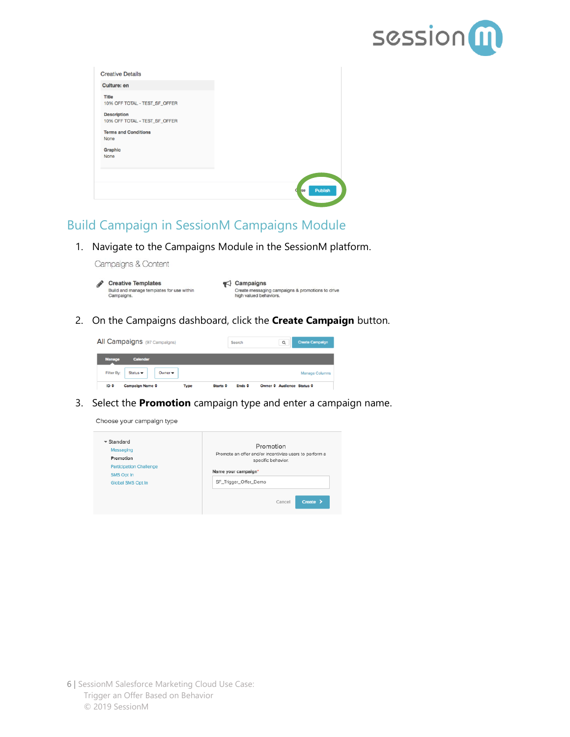

| <b>Culture: en</b>                                  |                           |
|-----------------------------------------------------|---------------------------|
| <b>Title</b><br>10% OFF TOTAL - TEST_SF_OFFER       |                           |
| <b>Description</b><br>10% OFF TOTAL - TEST_SF_OFFER |                           |
| <b>Terms and Conditions</b>                         |                           |
| None                                                |                           |
| Graphic                                             |                           |
| None                                                |                           |
|                                                     |                           |
|                                                     | Publish<br><b>se</b><br>п |

#### <span id="page-5-0"></span>Build Campaign in SessionM Campaigns Module

1. Navigate to the Campaigns Module in the SessionM platform.

Campaigns & Content

| <b>Creative Templates</b>                               | $\triangle$ Campaigns                                                      |
|---------------------------------------------------------|----------------------------------------------------------------------------|
| Build and manage templates for use within<br>Campaigns. | Create messaging campaigns & promotions to drive<br>high valued behaviors. |

2. On the Campaigns dashboard, click the **Create Campaign** button.



3. Select the **Promotion** campaign type and enter a campaign name.

Choose your campaign type

| $\overline{\phantom{a}}$ Standard<br>Messaging<br>Promotion<br><b>Participation Challenge</b><br><b>SMS Opt In</b><br>Global SMS Opt In | Promotion<br>Promote an offer and/or incentivize users to perform a<br>specific behavior.<br>Name your campaign*<br>SF_Trigger_Offer_Demo |  |
|-----------------------------------------------------------------------------------------------------------------------------------------|-------------------------------------------------------------------------------------------------------------------------------------------|--|
|                                                                                                                                         | Create ><br>Cancel                                                                                                                        |  |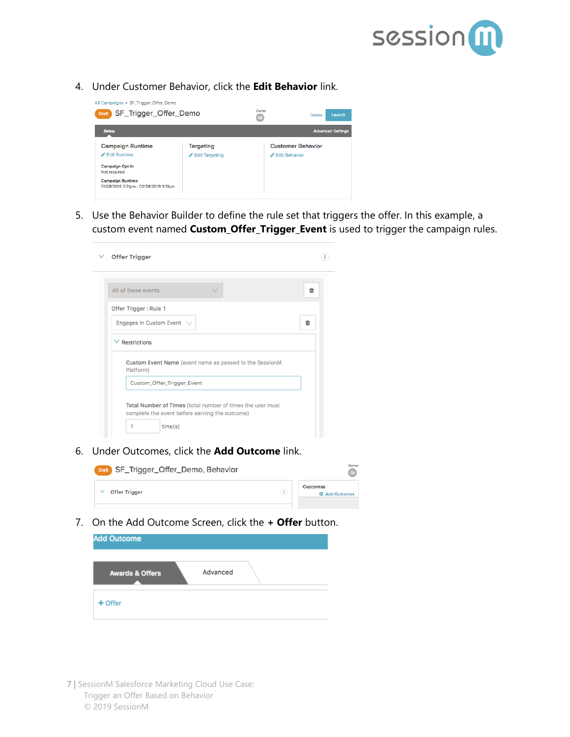

4. Under Customer Behavior, click the **Edit Behavior** link.

| All Campaigns > SF_Trigger_Offer_Demo                            |                  |               |                          |
|------------------------------------------------------------------|------------------|---------------|--------------------------|
| SF_Trigger_Offer_Demo<br><b>Draft</b>                            |                  | Owner<br>QI   | Launch<br>Delete         |
| <b>Setup</b>                                                     |                  |               | <b>Advanced Settings</b> |
| <b>Campaign Runtime</b>                                          | <b>Targeting</b> |               | <b>Customer Behavior</b> |
| <b>∕</b> Edit Runtime                                            | Edit Targeting   | Edit Behavior |                          |
| <b>Campaign Opt-In</b><br>Not required                           |                  |               |                          |
| <b>Campaign Runtime</b><br>01/28/2019 3:31pm - 02/28/2019 3:31pm |                  |               |                          |
|                                                                  |                  |               |                          |

5. Use the Behavior Builder to define the rule set that triggers the offer. In this example, a custom event named **Custom\_Offer\_Trigger\_Event** is used to trigger the campaign rules.

| <b>Offer Trigger</b>                                                                                         |  |
|--------------------------------------------------------------------------------------------------------------|--|
| All of these events<br>û<br>$\checkmark$                                                                     |  |
| Offer Trigger: Rule 1                                                                                        |  |
| Engages in Custom Event<br>會<br>$\vee$                                                                       |  |
| $\vee$ Restrictions                                                                                          |  |
| Custom Event Name (event name as passed to the SessionM<br>Platform)                                         |  |
| Custom_Offer_Trigger_Event                                                                                   |  |
| Total Number of Times (total number of times the user must<br>complete the event before earning the outcome) |  |
| time(s)                                                                                                      |  |

6. Under Outcomes, click the **Add Outcome** link.



7. On the Add Outcome Screen, click the **+ Offer** button.

| <b>Add Outcome</b>         |          |  |
|----------------------------|----------|--|
| <b>Awards &amp; Offers</b> | Advanced |  |
| $+$ Offer                  |          |  |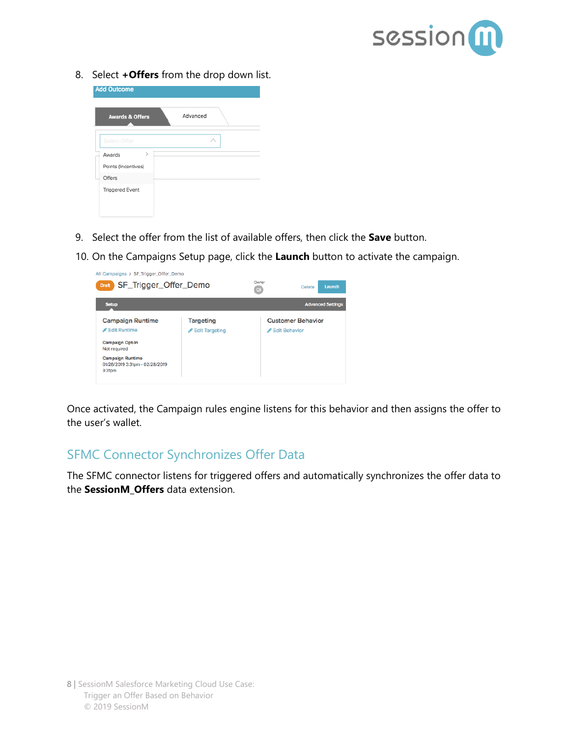

8. Select **+Offers** from the drop down list.

| <b>Add Outcome</b>         |          |
|----------------------------|----------|
| <b>Awards &amp; Offers</b> | Advanced |
| Select Offer               |          |
| $\geq$<br>Awards           |          |
| Points (Incentives)        |          |
| Offers                     |          |
| <b>Triggered Event</b>     |          |
|                            |          |

- 9. Select the offer from the list of available offers, then click the **Save** button.
- 10. On the Campaigns Setup page, click the **Launch** button to activate the campaign.

| SF_Trigger_Offer_Demo<br><b>Draft</b>                                                                                                                                |                                    | Owner<br>$\overline{a}$ | Launch<br><b>Delete</b>                   |
|----------------------------------------------------------------------------------------------------------------------------------------------------------------------|------------------------------------|-------------------------|-------------------------------------------|
| <b>Setup</b>                                                                                                                                                         |                                    |                         | <b>Advanced Settings</b>                  |
| <b>Campaign Runtime</b><br>Edit Runtime<br><b>Campaign Opt-In</b><br>Not required<br><b>Campaign Runtime</b><br>01/28/2019 3:31pm - 02/28/2019<br>3:31 <sub>pm</sub> | <b>Targeting</b><br>Edit Targeting |                         | <b>Customer Behavior</b><br>Edit Behavior |

Once activated, the Campaign rules engine listens for this behavior and then assigns the offer to the user's wallet.

#### <span id="page-7-0"></span>SFMC Connector Synchronizes Offer Data

The SFMC connector listens for triggered offers and automatically synchronizes the offer data to the **SessionM\_Offers** data extension.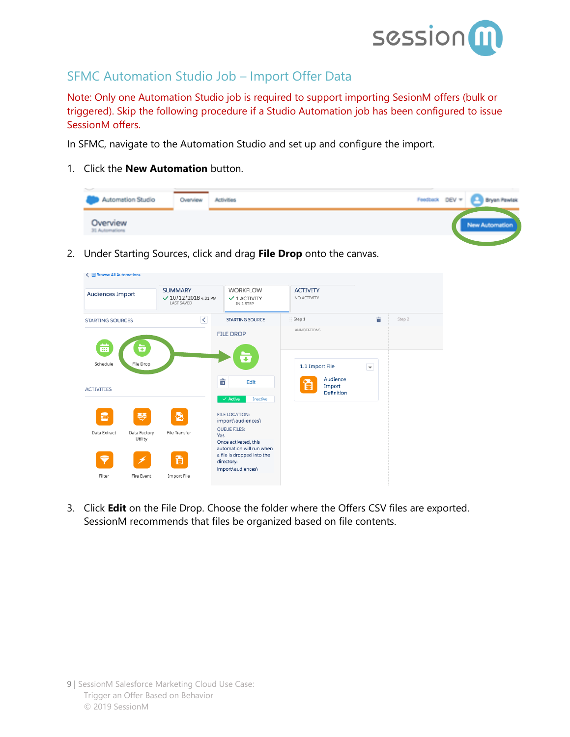

#### <span id="page-8-0"></span>SFMC Automation Studio Job – Import Offer Data

Note: Only one Automation Studio job is required to support importing SesionM offers (bulk or triggered). Skip the following procedure if a Studio Automation job has been configured to issue SessionM offers.

In SFMC, navigate to the Automation Studio and set up and configure the import.

1. Click the **New Automation** button.

| Teacher of<br>Automation Studio | Overview | Activities | Feedback DEV = [A] Bryan Pawlak |  |
|---------------------------------|----------|------------|---------------------------------|--|
| Overview<br>31 Automations      |          |            | New Automation                  |  |

2. Under Starting Sources, click and drag **File Drop** onto the canvas.

| ← III Browse All Automations |                         |                                                                    |     |                                                                         |                                 |                                  |                                    |        |
|------------------------------|-------------------------|--------------------------------------------------------------------|-----|-------------------------------------------------------------------------|---------------------------------|----------------------------------|------------------------------------|--------|
| Audiences Import             |                         | <b>SUMMARY</b><br>$\sqrt{10/12/2018}$ 4:01 PM<br><b>LAST SAVED</b> |     | <b>WORKFLOW</b><br>$\vee$ 1 ACTIVITY<br>IN 1 STEP                       | <b>ACTIVITY</b><br>NO ACTIVITY. |                                  |                                    |        |
| <b>STARTING SOURCES</b>      |                         | $\prec$                                                            |     | <b>STARTING SOURCE</b>                                                  | Step 1                          |                                  | 亩                                  | Step 2 |
| 曲                            | ÷                       |                                                                    |     | <b>FILE DROP</b>                                                        | <b>ANNOTATIONS</b>              |                                  |                                    |        |
| Schedule                     | File Drop               |                                                                    |     | $\overline{\textbf{t}}$                                                 |                                 | 1.1 Import File                  | $\left\vert \mathbf{v}\right\vert$ |        |
| <b>ACTIVITIES</b>            |                         |                                                                    | 亩   | Edit<br>$\times$ Active<br>Inactive                                     | е                               | Audience<br>Import<br>Definition |                                    |        |
| B                            | 导                       | 췹                                                                  |     | <b>FILE LOCATION:</b><br>import\audiences\                              |                                 |                                  |                                    |        |
| Data Extract                 | Data Factory<br>Utility | File Transfer                                                      | Yes | <b>QUEUE FILES:</b><br>Once activated, this<br>automation will run when |                                 |                                  |                                    |        |
| ♥                            | ✔                       | 窅                                                                  |     | a file is dropped into the<br>directory:<br>import\audiences\           |                                 |                                  |                                    |        |
| Filter                       | Fire Event              | Import File                                                        |     |                                                                         |                                 |                                  |                                    |        |

3. Click **Edit** on the File Drop. Choose the folder where the Offers CSV files are exported. SessionM recommends that files be organized based on file contents.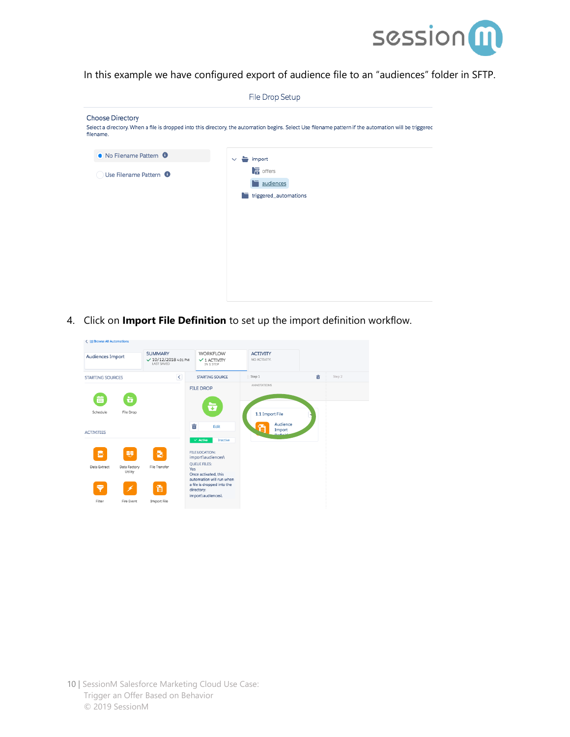

In this example we have configured export of audience file to an "audiences" folder in SFTP.

|                                      | File Drop Setup                                                                                                                                        |
|--------------------------------------|--------------------------------------------------------------------------------------------------------------------------------------------------------|
| <b>Choose Directory</b><br>filename. | Select a directory. When a file is dropped into this directory, the automation begins. Select Use filename pattern if the automation will be triggered |
| • No Filename Pattern •              | import<br>$\checkmark$                                                                                                                                 |
| Use Filename Pattern <sup>O</sup>    | $\sqrt{a}$ offers<br>audiences<br>triggered_automations<br>门                                                                                           |

4. Click on **Import File Definition** to set up the import definition workflow.

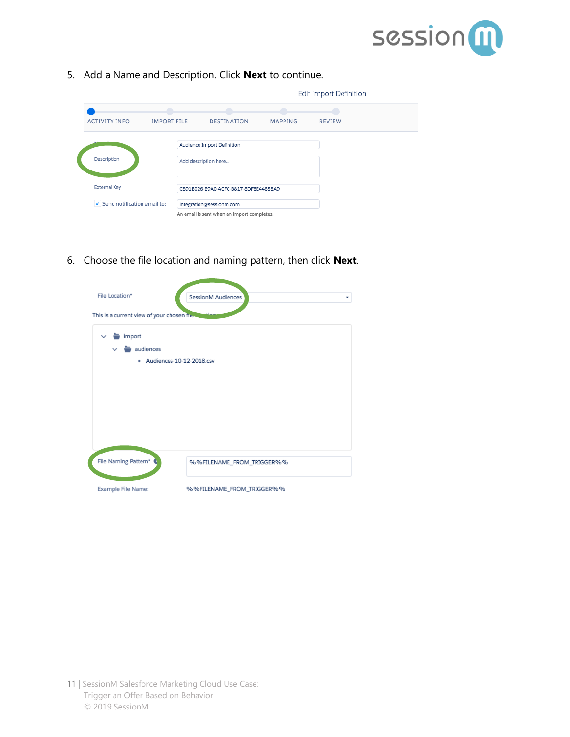

5. Add a Name and Description. Click **Next** to continue.

|                             |                    |                                            | Edit Import Definition |               |  |
|-----------------------------|--------------------|--------------------------------------------|------------------------|---------------|--|
|                             |                    |                                            |                        |               |  |
| <b>ACTIVITY INFO</b>        | <b>IMPORT FILE</b> | <b>DESTINATION</b>                         | <b>MAPPING</b>         | <b>REVIEW</b> |  |
|                             |                    | Audience Import Definition                 |                        |               |  |
| Description                 |                    | Add description here                       |                        |               |  |
| <b>External Key</b>         |                    | C891B026-B9A0-4CFC-B817-8DF8E44858A9       |                        |               |  |
| Send notification email to: |                    | integration@sessionm.com                   |                        |               |  |
|                             |                    | An email is sent when an import completes. |                        |               |  |

6. Choose the file location and naming pattern, then click **Next**.

| File Location*<br>This is a current view of your chosen fire to   | SessionM Audiences<br>÷   |
|-------------------------------------------------------------------|---------------------------|
| import<br>$\checkmark$<br>audiences<br>· Audiences-10-12-2018.csv |                           |
|                                                                   |                           |
|                                                                   |                           |
|                                                                   |                           |
| File Naming Pattern*                                              | %%FILENAME_FROM_TRIGGER%% |
| Example File Name:                                                | %%FILENAME_FROM_TRIGGER%% |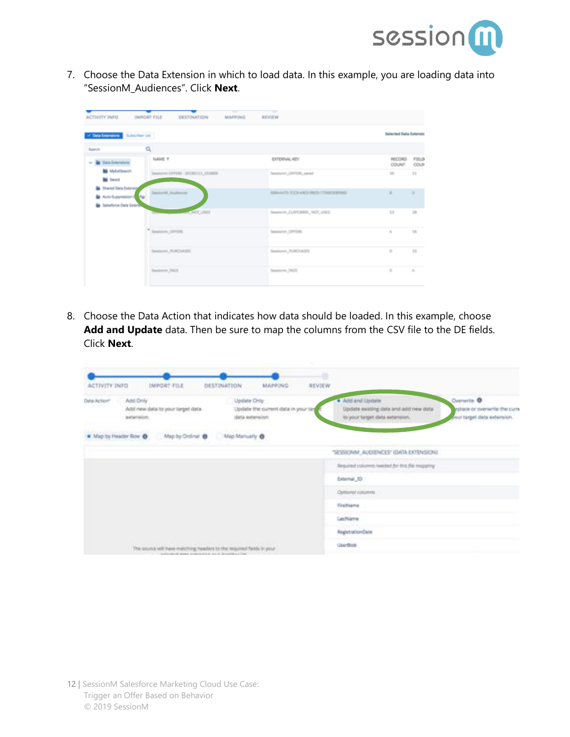

7. Choose the Data Extension in which to load data. In this example, you are loading data into "SessionM\_Audiences". Click **Next**.

| of Data Edwardson Subscriber List                                              |                                   |                                      | Sellected Data Externic |               |
|--------------------------------------------------------------------------------|-----------------------------------|--------------------------------------|-------------------------|---------------|
| Search                                                                         | Q                                 |                                      |                         |               |
| v & bra branions                                                               | NAME ?                            | EXTERNAL KEY                         | RECORD<br>COUNT         | FIELD<br>COUP |
| <b>M</b> McColleanon<br><b>M</b> Saved                                         | Sessionm DFFERS - 20190111_010809 | Sessionm, OFFERS, saved              | $105 -$                 | 33            |
| Shared Oata Extensiv<br>٠<br>Auto-Suppression 1 Mp.<br>la Salestona Data Grano | essionM_Audiences                 | E664AX70-7CCB-40E2-98CO-7754EOE89960 | ٠                       | ×             |
|                                                                                | A NOT USED                        | Sealone, CUSTOMER, NOT USED          | 33                      | 28            |
|                                                                                | Sessionm, OFFERS                  | Sessionm, OFFERS                     | $\alpha$                | 35            |
|                                                                                | Sessionm, PURO MSES               | Sessionm_PURD (KSES)                 | ÷                       | 35            |
|                                                                                | Sessionen, TAGS                   | Seniove, 3455                        | ÷                       | $\lambda$     |

8. Choose the Data Action that indicates how data should be loaded. In this example, choose **Add and Update** data. Then be sure to map the columns from the CSV file to the DE fields. Click **Next**.

|                      |                                                                      |                                                                                             |                                                         | ۰      |                                                                                             |                                                                              |
|----------------------|----------------------------------------------------------------------|---------------------------------------------------------------------------------------------|---------------------------------------------------------|--------|---------------------------------------------------------------------------------------------|------------------------------------------------------------------------------|
| ACTIVITY INFO        | IMPORT FILE                                                          | DESTINATION                                                                                 | MAPPING                                                 | REVIEW |                                                                                             |                                                                              |
| Data Action®<br>法无法的 | Add Only<br>Add new data to your terget data.<br><b>BIOETHIOT:</b>   | Update Chily                                                                                | Update the current data in your tar<br>dista externion. |        | · Add and Update<br>Update existing data and add new data<br>to your target data exteriors. | Denverile O<br>inplace or overwrite the curry<br>your target data externion. |
|                      | . Map by Header Row . Map by Ordinal . Map Marketing . B.            |                                                                                             |                                                         |        |                                                                                             |                                                                              |
|                      |                                                                      |                                                                                             |                                                         |        | "SESSIONM_AUDIENCES" (DATA EXTENSION)                                                       |                                                                              |
|                      |                                                                      |                                                                                             |                                                         |        | Required columns hasked for this file magazing                                              |                                                                              |
|                      |                                                                      |                                                                                             |                                                         |        | External, 32                                                                                |                                                                              |
|                      |                                                                      |                                                                                             |                                                         |        | Optional columns                                                                            |                                                                              |
|                      |                                                                      |                                                                                             |                                                         |        | FirstName                                                                                   |                                                                              |
|                      |                                                                      |                                                                                             |                                                         |        | LastName                                                                                    |                                                                              |
|                      |                                                                      |                                                                                             |                                                         |        | RegistrationDate                                                                            |                                                                              |
|                      | The source will have matching headers to the required fields in your | <b>A CONSTRACT PRODUCT</b><br>The interest states between their paintings in the content of |                                                         |        | Usedies                                                                                     |                                                                              |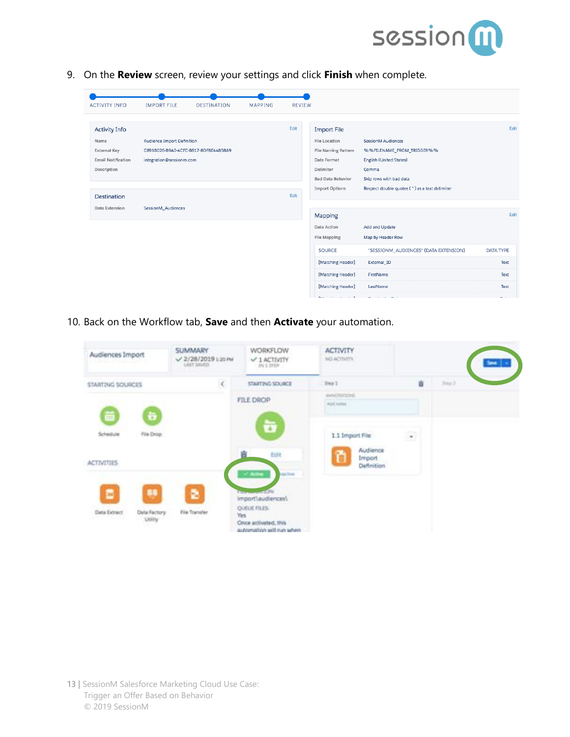

9. On the **Review** screen, review your settings and click **Finish** when complete.

| <b>ACTIVITY INFO</b>                                                                            | <b>IMPORT FILE</b>                                                                             | <b>DESTINATION</b> | <b>MAPPING</b> | <b>REVIEW</b> |                                                                                                                                                    |                                                                                                                                                                 |                          |
|-------------------------------------------------------------------------------------------------|------------------------------------------------------------------------------------------------|--------------------|----------------|---------------|----------------------------------------------------------------------------------------------------------------------------------------------------|-----------------------------------------------------------------------------------------------------------------------------------------------------------------|--------------------------|
| <b>Activity Info</b><br>Name<br><b>External Key</b><br><b>Email Notification</b><br>Description | Audience Import Definition<br>C891B026-B9A0-4CFC-B817-8DF8E44858A9<br>integration@sessionm.com |                    |                | Edit          | <b>Import File</b><br><b>File Location</b><br>File Naming Pattern<br>Date Format<br>Delimiter<br><b>Bad Data Behavior</b><br><b>Import Options</b> | SessionM Audiences<br>%%FILENAME_FROM_TRIGGER%%<br>English (United States)<br>Comma<br>Skip rows with bad data<br>Respect double quotes (") as a text delimiter | Edit                     |
| Destination<br><b>Data Extension</b>                                                            | SessionM Audiences                                                                             |                    |                | Edit          | Mapping                                                                                                                                            |                                                                                                                                                                 | Edit                     |
|                                                                                                 |                                                                                                |                    |                |               | Data Action<br><b>File Mapping</b>                                                                                                                 | Add and Update<br>Map by Header Row                                                                                                                             |                          |
|                                                                                                 |                                                                                                |                    |                |               | <b>SOURCE</b><br>[Matching Header]                                                                                                                 | "SESSIONM_AUDIENCES" (DATA EXTENSION)<br>External ID                                                                                                            | <b>DATA TYPE</b><br>Text |
|                                                                                                 |                                                                                                |                    |                |               | [Matching Header]<br>[Matching Header]                                                                                                             | FirstName<br>LastName                                                                                                                                           | Text<br>Text             |

10. Back on the Workflow tab, **Save** and then **Activate** your automation.